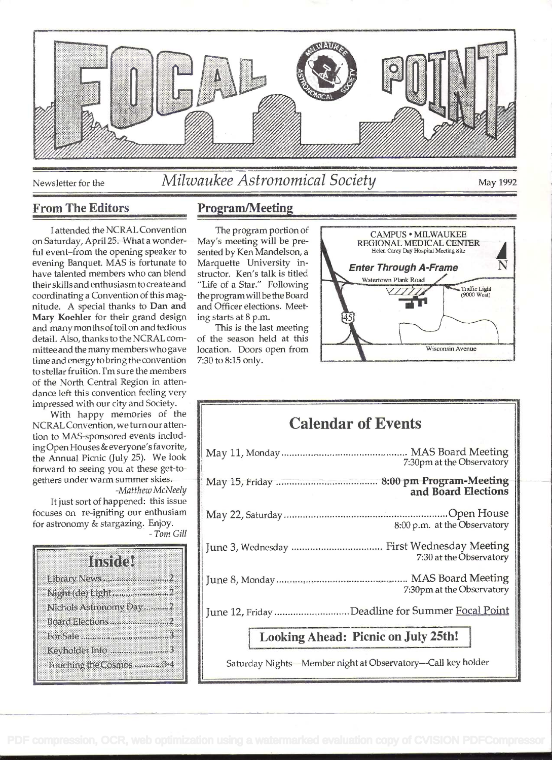

# Newsletter for the *Milwaukee Astronomical Society* May 1992

# From The Editors Program/Meeting

<sup>I</sup>attended the NCRAL Convention on Saturday, April 25. What a wonderful event-from the opening speaker to evening Banquet. MAS is fortunate to have talented members who can blend their skills and enthusiasm to create and coordinating a Convention of this magnitude. A special thanks to Dan and Mary Koehier for their grand design and many months of toil on and tedious detail. Also, thanks to the NCRAL cornmitteeand the many members who gave time and energy to bring the convention to stellar fruition. I'm sure the members of the North Central Region in attendance left this convention feeling very impressed with our city and Society.

With happy memories of the NCRAL Convention, we turn our attention to MAS-sponsored events including Open Houses & everyone's favorite, the Annual Picnic (July 25). We look forward to seeing you at these get-togethers under warm summer skies.

-Matthew McNeely It just sort of happened: this issue focuses on re-igniting our enthusiam for astronomy & stargazing. Enjoy. - Tom Gill

|                        | Instity, |  |
|------------------------|----------|--|
|                        |          |  |
|                        |          |  |
| Nichols Astronomy Day2 |          |  |
|                        |          |  |
|                        |          |  |
| Keyholder Info3        |          |  |
| Touching the Cosmos 34 |          |  |

The program portion of May's meeting will be presented by Ken Mandelson, a Marquette University instructor. Ken's talk is titled "Life of a Star." Following the programwill bethe Board and Officer elections. Meeting starts at 8 p.m.

This is the last meeting of the season held at this location. Doors open from 7:30 to 8:15 only.



# Calendar of Events

| 7:30pm at the Observatory                       |  |
|-------------------------------------------------|--|
| and Board Elections                             |  |
| 8:00 p.m. at the Observatory                    |  |
| 7:30 at the Observatory                         |  |
| 7:30pm at the Observatory                       |  |
| June 12, Friday Deadline for Summer Focal Point |  |
|                                                 |  |

Looking Ahead: Picnic on July 25th!

Saturday Nights-Member night at Observatory-Call key holder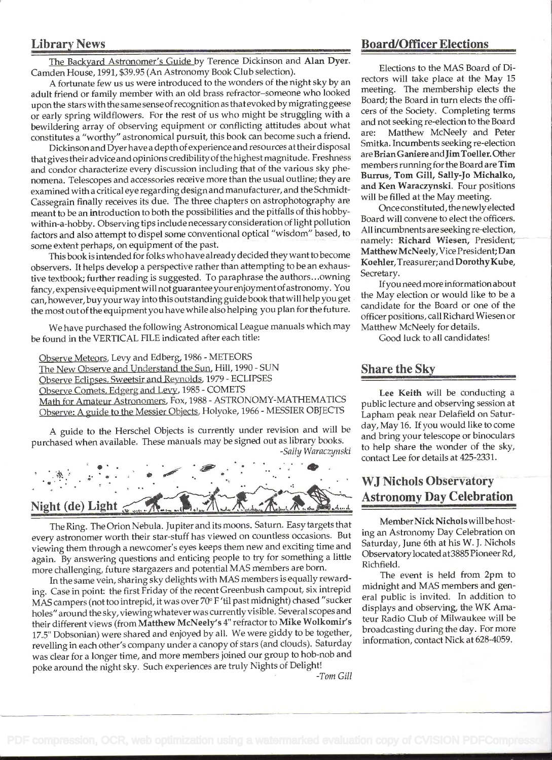### Library News

The Backyard Astronomer's Guide by Terence Dickinson and Alan Dyer. Camden House, 1991, \$39.95 (An Astronomy Book Club selection).

A fortunate few us us were introduced to the wonders of the night sky by an adult friend or family member with an old brass refractor-someone who looked upon the stars with the same sense ofrecognition as that evoked by migrating geese or early spring wildflowers. For the rest of us who might be struggling with a bewildering array of observing equipment or conflicting attitudes about what and<br>constitution "worthy" estronomical pursuit, this book can become such a friend are: constitutes a "worthy" astronomical pursuit, this book can become such a friend.

Dickinson and Dyerhave a depth of experience and resources at their disposal that gives their advice and opinions credibility of the highest magnitude. Freshness and condor characterize every discussion including that of the various sky phenomena. Telescopes and accessories receive more than the usual outline; they are examined with a critical eye regarding design and manufacturer, and the Schmidt-Cassegrain finally receives its due. The three chapters on astrophotography are meant to be an introduction to both the possibilities and the pitfalls of this hobbywithin-a-hobby. Observing tips include necessary consideration of light pollution factors and also attempt to dispel some conventional optical "wisdom" based, to some extent perhaps, on equipment of the past.

This book is intended for folks who have already decided they want to become observers. It helps develop a perspective rather than attempting to be an exhaustive textbook; further reading is suggested. To paraphrase the authors . . .owning fancy, expensive equipment will not guarantee your enjoyment of astronomy. You can, however, buyyour way into this outstanding guide book thatwill help you get the most out of the equipment you have while also helping you plan for the future.

We have purchased the following Astronomical League manuals which may be found in the VERTICAL FILE indicated after each title:

Observe Meteors, Levy and Edberg, 1986 - METEORS The New Observe and Understand the Sun, Hill, 1990 - SUN Observe Eclipses, Sweetsir and Reynolds. 1979 - ECLIPSES Observe Comets. Edgerg and Levy, 1985 - COMETS Math for Amateur Astronomers. Fox, 1988 - ASTRONOMY-MATHEMATICS Observe: A guide to the Messier Objects, Holyoke, 1966 - MESSIER OBJECTS

A guide to the Herschel Objects is currently under revision and will be purchased when available. These manuals may be signed out as library books. -Sally Waraczynski

. ... .... . . . - .: : . . ira1 . . . . . . . . . Night (de) Light

The Ring. The Orion Nebula. Jupiter and its moons. Saturn. Easy targets that every astronomer worth their star-stuff has viewed on countless occasions. But viewing them through a newcomer's eyes keeps them new and exciting time and again. By answering questions and enticing people to try for something a little more challenging, future stargazers and potential MAS members are born.

In the same vein, sharing sky delights with MAS members is equally rewarding. Case in point: the first Friday of the recent Greenbush campout, six intrepid MAS campers (not too intrepid, it was over 70° F 'fil past midnight) chased "sucker holes" around the sky, viewing whatever was currently visible. Several scopes and their different views (from Matthew McNeely's 4" refractor to Mike Wolkomir's 17.5" Dobsonian) were shared and enjoyed by all. We were giddy to be together, revelling in each other's company under a canopy of stars (and clouds). Saturday was clear for a longer time, and more members joined our group to hob-nob and poke around the night sky. Such experiences are truly Nights of Delight!

## Board/Officer Elections

Elections to the MAS Board of Directors will take place at the May 15 meeting. The membership elects the Board; the Board in turn elects the officers of the Society. Completing terms and not seeking re-election to the Board Matthew McNeely and Peter Smitka. Incumbents seeking re-election areßrianGaniere andJimToeller. Other members running for the Board are Tim Burrus, Tom Gill, Sally-Jo Michalko, and Ken Waraczynski. Four positions will be filled at the May meeting.

Onceconstituted, the newly elected Board will convene to elect the officers. All incumbnents are seeking re-election, namely: Richard Wiesen, President; MatthewMcNeely,Vice President;Dan Koehier, Treasurer; and Dorothy Kube, Secretary.

Ifyou need more information about the May election or would like to be a candidate for the Board or one of the officer positions, call Richard Wiesen or Matthew McNeely for details.

Good luck to all candidates!

### Share the Sky

Lee Keith will be conducting a public lecture and observing session at Lapham peak near Delafield on Saturday, May 16. If you would like to come and bring your telescope or binoculars to help share the wonder of the sky, contact Lee for details at 425-2331.

# wJ Nichols Observatory Astronomy Day Celebration

Member Nick Nichols will be hosting an Astronomy Day Celebration on Saturday, June 6th at his W. J. Nichols Observatory located at3885 Pioneer Rd. Richfield.

The event is held from 2pm to midnight and MAS members and general public is invited. In addition to displays and observing, the WK Amateur Radio Club of Milwaukee will be broadcasting during the day. For more information, contact Nick at 628-4059.

-Tom Gill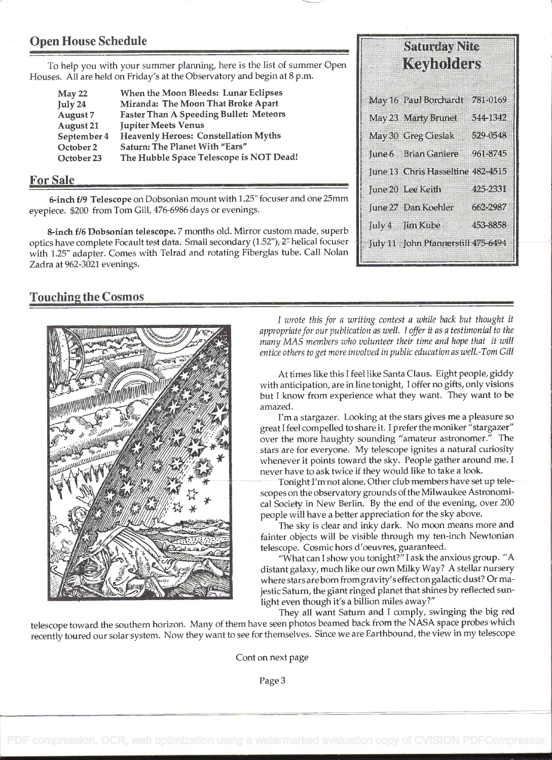# Open House Schedule

To help you with your summer planning, here is the list of summer Open Houses. All are held on Friday's at the Observatory and begin at 8p.m.

| May 22      | When the Moon Bleeds: Lunar Eclipses          |
|-------------|-----------------------------------------------|
| July 24     | Miranda: The Moon That Broke Apart            |
| August 7    | <b>Faster Than A Speeding Bullet: Meteors</b> |
| August 21   | <b>Jupiter Meets Venus</b>                    |
| September 4 | <b>Heavenly Heroes: Constellation Myths</b>   |
| October 2   | Saturn: The Planet With "Ears"                |
| October 23  | The Hubble Space Telescope is NOT Dead!       |

#### For Sale

6-inch f/9 Telescope on Dobsonian mount with 1.25" focuser and one 25mm eyepiece. \$200 from Tom Gill, 476-6986 days or evenings.

8-inch f/6 Dobsonian telescope. 7 months old. Mirror custom made, superb optics have complete Focault test data. Small secondary (1.52"), 2" helical focuser with 1.25" adapter. Comes with Teirad and rotating Fiberglas tube. Call Nolan Zadra at 962-3021 evenings.

#### Touching the Cosmos



I wrote this for a writing contest a while back but thought it appropriate for our publication as well. I offer it as a testimonial to the many MAS members who volunteer their time and hope that it will entice others to get more involved in public education as welL-Tom Gill

At times like this I feel like Santa Claus. Eight people, giddy with anticipation, are in line tonight, I offer no gifts, only visions but I know from experience what they want. They want to be amazed.

I'm a stargazer. Looking at the stars gives me a pleasure so great I feel compelled to share it. I prefer the moniker "stargazer" over the more haughty sounding "amateur astronomer." The stars are for everyone. My telescope ignites a natural curiosity whenever it points toward the sky. People gather around me. I never have to ask twice if they would like to take a look.

Tonight I'm not alone. Other club members have set up telescopes on the observatory grounds of the Milwaukee Astronomical Society in New Berlin. By the end of the evening, over 200 people will have a better appreciation for the sky above.

The sky is clear and inky dark. No moon means more and fainter objects will be visible through my ten-inch Newtonian telescope. Cosmic hors d'oeuvres, guaranteed.

"What can I show you tonight?" I ask the anxious group. "A . distant galaxy, much like our own Milky Way? A stellar nursery where stars are born from gravity's effect on galactic dust? Or majestic Saturn, the giant ringed planet that shines by reflected sunlight even though it's a billion miles away?"

They all want Saturn and I comply, swinging the big red telescope toward the southern horizon. Many of them have seen photos beamed back from the NASA space probes which recently toured our solar system. Now they want to see for themselves. Since we are Earthbound, the view in my telescope

Cont on next page

| Kaymhhas                          |          |
|-----------------------------------|----------|
| May 16 Paul Borchardt             | 281-0169 |
| May 23 Marty Brunet               | 5251842  |
| May 30 Greg Cieslak               | 529-0548 |
| June 6 Brian Caniere              | 961-8745 |
| June 13 Chris Hasseltine 482-4915 |          |
| lune 20 Lee Keith                 | 495-2881 |
| June 27 Dan Koehler               | 662.2937 |
| July – Jim Kube                   | 453-8858 |
| July 11 John Pfannershil 475-6494 |          |

**Samory Stre**